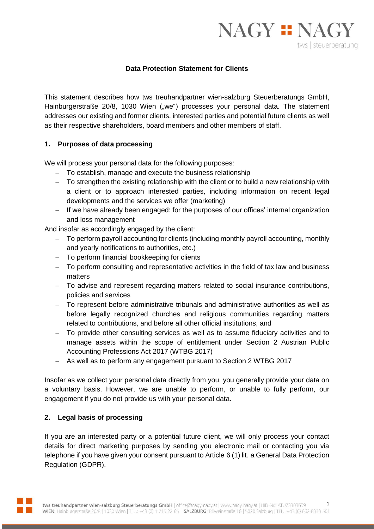

### **Data Protection Statement for Clients**

This statement describes how tws treuhandpartner wien-salzburg Steuerberatungs GmbH, Hainburgerstraße 20/8, 1030 Wien ("we") processes your personal data. The statement addresses our existing and former clients, interested parties and potential future clients as well as their respective shareholders, board members and other members of staff.

#### **1. Purposes of data processing**

We will process your personal data for the following purposes:

- To establish, manage and execute the business relationship
- To strengthen the existing relationship with the client or to build a new relationship with a client or to approach interested parties, including information on recent legal developments and the services we offer (marketing)
- $-I$  If we have already been engaged: for the purposes of our offices' internal organization and loss management

And insofar as accordingly engaged by the client:

- To perform payroll accounting for clients (including monthly payroll accounting, monthly and yearly notifications to authorities, etc.)
- To perform financial bookkeeping for clients
- To perform consulting and representative activities in the field of tax law and business matters
- To advise and represent regarding matters related to social insurance contributions, policies and services
- To represent before administrative tribunals and administrative authorities as well as before legally recognized churches and religious communities regarding matters related to contributions, and before all other official institutions, and
- To provide other consulting services as well as to assume fiduciary activities and to manage assets within the scope of entitlement under Section 2 Austrian Public Accounting Professions Act 2017 (WTBG 2017)
- As well as to perform any engagement pursuant to Section 2 WTBG 2017

Insofar as we collect your personal data directly from you, you generally provide your data on a voluntary basis. However, we are unable to perform, or unable to fully perform, our engagement if you do not provide us with your personal data.

# **2. Legal basis of processing**

If you are an interested party or a potential future client, we will only process your contact details for direct marketing purposes by sending you electronic mail or contacting you via telephone if you have given your consent pursuant to Article 6 (1) lit. a General Data Protection Regulation (GDPR).

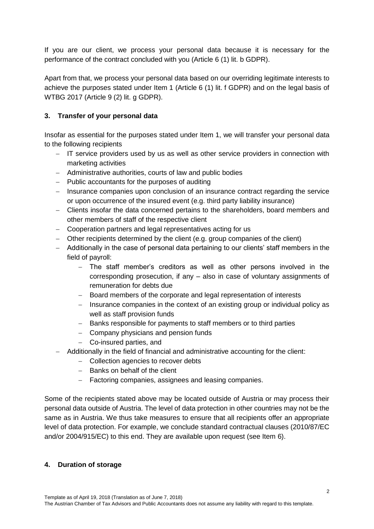If you are our client, we process your personal data because it is necessary for the performance of the contract concluded with you (Article 6 (1) lit. b GDPR).

Apart from that, we process your personal data based on our overriding legitimate interests to achieve the purposes stated under Item 1 (Article 6 (1) lit. f GDPR) and on the legal basis of WTBG 2017 (Article 9 (2) lit. g GDPR).

# **3. Transfer of your personal data**

Insofar as essential for the purposes stated under Item 1, we will transfer your personal data to the following recipients

- $-$  IT service providers used by us as well as other service providers in connection with marketing activities
- Administrative authorities, courts of law and public bodies
- Public accountants for the purposes of auditing
- $-$  Insurance companies upon conclusion of an insurance contract regarding the service or upon occurrence of the insured event (e.g. third party liability insurance)
- Clients insofar the data concerned pertains to the shareholders, board members and other members of staff of the respective client
- Cooperation partners and legal representatives acting for us
- Other recipients determined by the client (e.g. group companies of the client)
- Additionally in the case of personal data pertaining to our clients' staff members in the field of payroll:
	- The staff member's creditors as well as other persons involved in the corresponding prosecution, if any – also in case of voluntary assignments of remuneration for debts due
	- Board members of the corporate and legal representation of interests
	- Insurance companies in the context of an existing group or individual policy as well as staff provision funds
	- Banks responsible for payments to staff members or to third parties
	- Company physicians and pension funds
	- Co-insured parties, and
- Additionally in the field of financial and administrative accounting for the client:
	- Collection agencies to recover debts
	- $-$  Banks on behalf of the client
	- Factoring companies, assignees and leasing companies.

Some of the recipients stated above may be located outside of Austria or may process their personal data outside of Austria. The level of data protection in other countries may not be the same as in Austria. We thus take measures to ensure that all recipients offer an appropriate level of data protection. For example, we conclude standard contractual clauses (2010/87/EC and/or 2004/915/EC) to this end. They are available upon request (see Item 6).

# **4. Duration of storage**